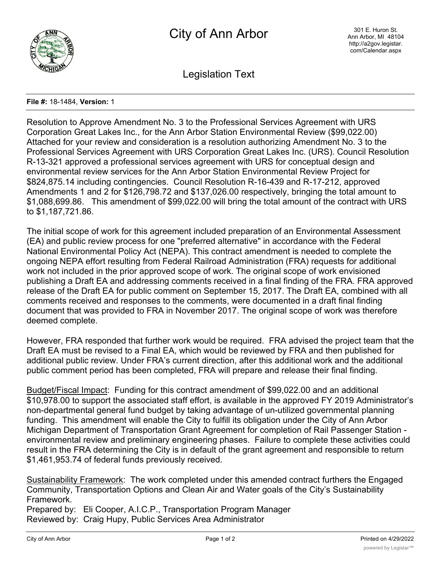

Legislation Text

## **File #:** 18-1484, **Version:** 1

Resolution to Approve Amendment No. 3 to the Professional Services Agreement with URS Corporation Great Lakes Inc., for the Ann Arbor Station Environmental Review (\$99,022.00) Attached for your review and consideration is a resolution authorizing Amendment No. 3 to the Professional Services Agreement with URS Corporation Great Lakes Inc. (URS). Council Resolution R-13-321 approved a professional services agreement with URS for conceptual design and environmental review services for the Ann Arbor Station Environmental Review Project for \$824,875.14 including contingencies. Council Resolution R-16-439 and R-17-212, approved Amendments 1 and 2 for \$126,798.72 and \$137,026.00 respectively, bringing the total amount to \$1,088,699.86. This amendment of \$99,022.00 will bring the total amount of the contract with URS to \$1,187,721.86.

The initial scope of work for this agreement included preparation of an Environmental Assessment (EA) and public review process for one "preferred alternative" in accordance with the Federal National Environmental Policy Act (NEPA). This contract amendment is needed to complete the ongoing NEPA effort resulting from Federal Railroad Administration (FRA) requests for additional work not included in the prior approved scope of work. The original scope of work envisioned publishing a Draft EA and addressing comments received in a final finding of the FRA. FRA approved release of the Draft EA for public comment on September 15, 2017. The Draft EA, combined with all comments received and responses to the comments, were documented in a draft final finding document that was provided to FRA in November 2017. The original scope of work was therefore deemed complete.

However, FRA responded that further work would be required. FRA advised the project team that the Draft EA must be revised to a Final EA, which would be reviewed by FRA and then published for additional public review. Under FRA's current direction, after this additional work and the additional public comment period has been completed, FRA will prepare and release their final finding.

Budget/Fiscal Impact: Funding for this contract amendment of \$99,022.00 and an additional \$10,978.00 to support the associated staff effort, is available in the approved FY 2019 Administrator's non-departmental general fund budget by taking advantage of un-utilized governmental planning funding. This amendment will enable the City to fulfill its obligation under the City of Ann Arbor Michigan Department of Transportation Grant Agreement for completion of Rail Passenger Station environmental review and preliminary engineering phases. Failure to complete these activities could result in the FRA determining the City is in default of the grant agreement and responsible to return \$1,461,953.74 of federal funds previously received.

Sustainability Framework: The work completed under this amended contract furthers the Engaged Community, Transportation Options and Clean Air and Water goals of the City's Sustainability Framework.

Prepared by: Eli Cooper, A.I.C.P., Transportation Program Manager Reviewed by: Craig Hupy, Public Services Area Administrator